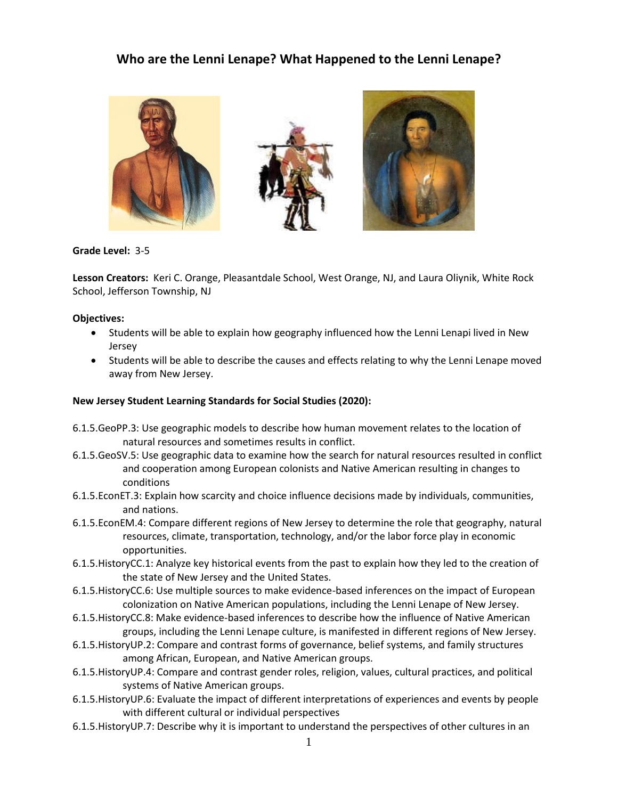# **Who are the Lenni Lenape? What Happened to the Lenni Lenape?**



**Grade Level:** 3-5

**Lesson Creators:** Keri C. Orange, Pleasantdale School, West Orange, NJ, and Laura Oliynik, White Rock School, Jefferson Township, NJ

#### **Objectives:**

- Students will be able to explain how geography influenced how the Lenni Lenapi lived in New Jersey
- Students will be able to describe the causes and effects relating to why the Lenni Lenape moved away from New Jersey.

#### **New Jersey Student Learning Standards for Social Studies (2020):**

- 6.1.5.GeoPP.3: Use geographic models to describe how human movement relates to the location of natural resources and sometimes results in conflict.
- 6.1.5.GeoSV.5: Use geographic data to examine how the search for natural resources resulted in conflict and cooperation among European colonists and Native American resulting in changes to conditions
- 6.1.5.EconET.3: Explain how scarcity and choice influence decisions made by individuals, communities, and nations.
- 6.1.5.EconEM.4: Compare different regions of New Jersey to determine the role that geography, natural resources, climate, transportation, technology, and/or the labor force play in economic opportunities.
- 6.1.5.HistoryCC.1: Analyze key historical events from the past to explain how they led to the creation of the state of New Jersey and the United States.
- 6.1.5.HistoryCC.6: Use multiple sources to make evidence-based inferences on the impact of European colonization on Native American populations, including the Lenni Lenape of New Jersey.
- 6.1.5.HistoryCC.8: Make evidence-based inferences to describe how the influence of Native American groups, including the Lenni Lenape culture, is manifested in different regions of New Jersey.
- 6.1.5.HistoryUP.2: Compare and contrast forms of governance, belief systems, and family structures among African, European, and Native American groups.
- 6.1.5.HistoryUP.4: Compare and contrast gender roles, religion, values, cultural practices, and political systems of Native American groups.
- 6.1.5.HistoryUP.6: Evaluate the impact of different interpretations of experiences and events by people with different cultural or individual perspectives
- 6.1.5.HistoryUP.7: Describe why it is important to understand the perspectives of other cultures in an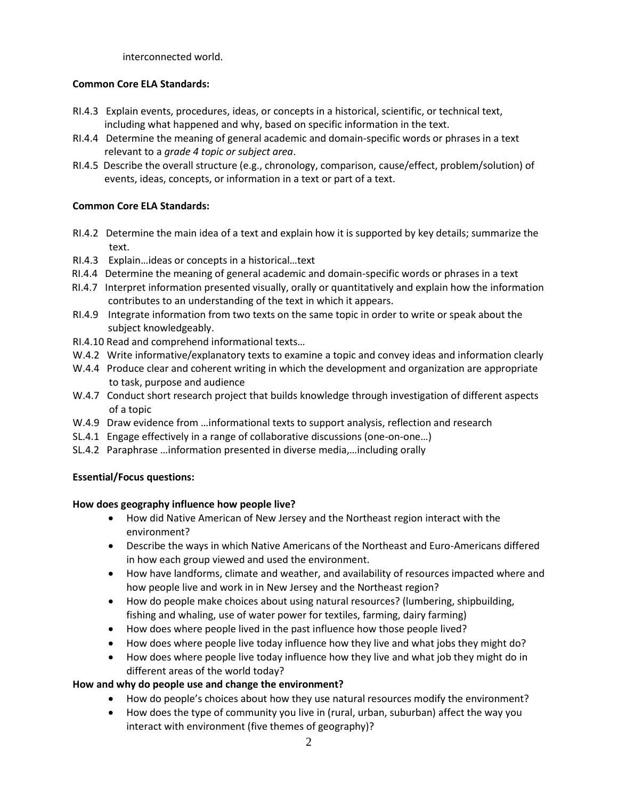interconnected world.

# **Common Core ELA Standards:**

- [RI.4.3](http://www.corestandards.org/ELA-Literacy/RI/4/3/) Explain events, procedures, ideas, or concepts in a historical, scientific, or technical text, including what happened and why, based on specific information in the text.
- [RI.4.4](http://www.corestandards.org/ELA-Literacy/RI/4/4/) Determine the meaning of general academic and domain-specific words or phrases in a text relevant to a *grade 4 topic or subject area*.
- [RI.4.5](http://www.corestandards.org/ELA-Literacy/RI/4/5/) Describe the overall structure (e.g., chronology, comparison, cause/effect, problem/solution) of events, ideas, concepts, or information in a text or part of a text.

# **Common Core ELA Standards:**

- RI.4.2 Determine the main idea of a text and explain how it is supported by key details; summarize the text.
- RI.4.3 Explain…ideas or concepts in a historical…text
- RI.4.4 Determine the meaning of general academic and domain-specific words or phrases in a text
- RI.4.7 Interpret information presented visually, orally or quantitatively and explain how the information contributes to an understanding of the text in which it appears.
- RI.4.9 Integrate information from two texts on the same topic in order to write or speak about the subject knowledgeably.
- RI.4.10 Read and comprehend informational texts…
- W.4.2 Write informative/explanatory texts to examine a topic and convey ideas and information clearly
- W.4.4 Produce clear and coherent writing in which the development and organization are appropriate to task, purpose and audience
- W.4.7 Conduct short research project that builds knowledge through investigation of different aspects of a topic
- W.4.9 Draw evidence from …informational texts to support analysis, reflection and research
- SL.4.1 Engage effectively in a range of collaborative discussions (one-on-one…)
- SL.4.2 Paraphrase …information presented in diverse media,…including orally

# **Essential/Focus questions:**

#### **How does geography influence how people live?**

- How did Native American of New Jersey and the Northeast region interact with the environment?
- Describe the ways in which Native Americans of the Northeast and Euro-Americans differed in how each group viewed and used the environment.
- How have landforms, climate and weather, and availability of resources impacted where and how people live and work in in New Jersey and the Northeast region?
- How do people make choices about using natural resources? (lumbering, shipbuilding, fishing and whaling, use of water power for textiles, farming, dairy farming)
- How does where people lived in the past influence how those people lived?
- How does where people live today influence how they live and what jobs they might do?
- How does where people live today influence how they live and what job they might do in different areas of the world today?

# **How and why do people use and change the environment?**

- How do people's choices about how they use natural resources modify the environment?
- How does the type of community you live in (rural, urban, suburban) affect the way you interact with environment (five themes of geography)?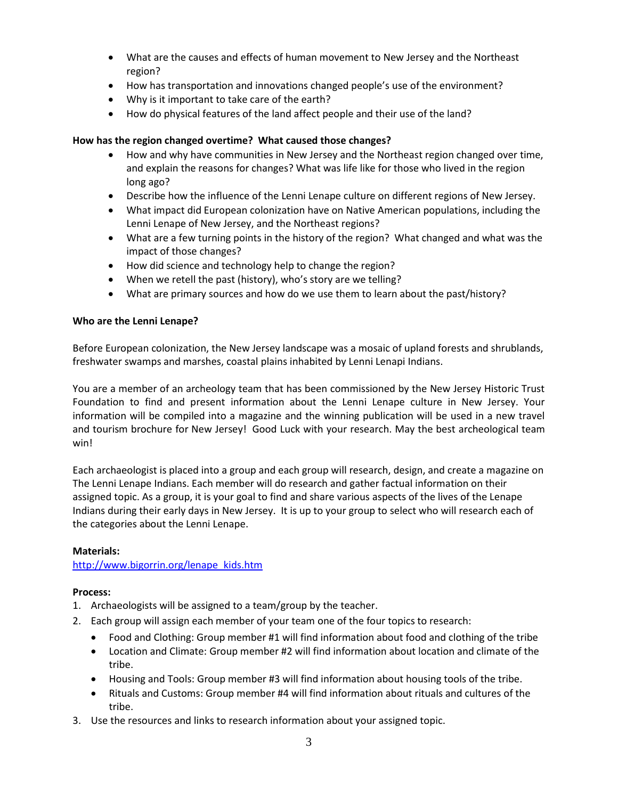- What are the causes and effects of human movement to New Jersey and the Northeast region?
- How has transportation and innovations changed people's use of the environment?
- Why is it important to take care of the earth?
- How do physical features of the land affect people and their use of the land?

# **How has the region changed overtime? What caused those changes?**

- How and why have communities in New Jersey and the Northeast region changed over time, and explain the reasons for changes? What was life like for those who lived in the region long ago?
- Describe how the influence of the Lenni Lenape culture on different regions of New Jersey.
- What impact did European colonization have on Native American populations, including the Lenni Lenape of New Jersey, and the Northeast regions?
- What are a few turning points in the history of the region? What changed and what was the impact of those changes?
- How did science and technology help to change the region?
- When we retell the past (history), who's story are we telling?
- What are primary sources and how do we use them to learn about the past/history?

# **Who are the Lenni Lenape?**

Before European colonization, the New Jersey landscape was a mosaic of upland forests and shrublands, freshwater swamps and marshes, coastal plains inhabited by Lenni Lenapi Indians.

You are a member of an archeology team that has been commissioned by the New Jersey Historic Trust Foundation to find and present information about the Lenni Lenape culture in New Jersey. Your information will be compiled into a magazine and the winning publication will be used in a new travel and tourism brochure for New Jersey! Good Luck with your research. May the best archeological team win!

Each archaeologist is placed into a group and each group will research, design, and create a magazine on The Lenni Lenape Indians. Each member will do research and gather factual information on their assigned topic. As a group, it is your goal to find and share various aspects of the lives of the Lenape Indians during their early days in New Jersey. It is up to your group to select who will research each of the categories about the Lenni Lenape.

#### **Materials:**

[http://www.bigorrin.org/lenape\\_kids.htm](http://www.bigorrin.org/lenape_kids.htm)

#### **Process:**

- 1. Archaeologists will be assigned to a team/group by the teacher.
- 2. Each group will assign each member of your team one of the four topics to research:
	- Food and Clothing: Group member #1 will find information about food and clothing of the tribe
	- Location and Climate: Group member #2 will find information about location and climate of the tribe.
	- Housing and Tools: Group member #3 will find information about housing tools of the tribe.
	- Rituals and Customs: Group member #4 will find information about rituals and cultures of the tribe.
- 3. Use the resources and links to research information about your assigned topic.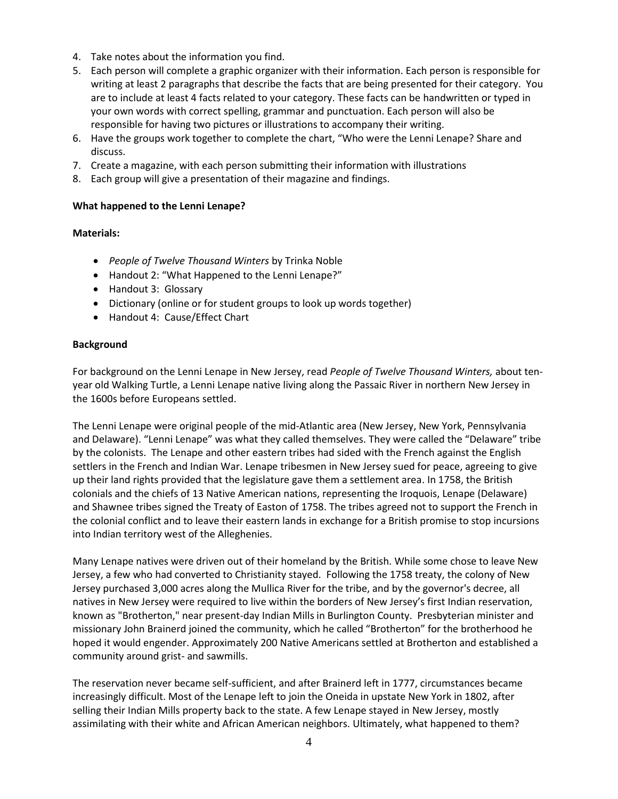- 4. Take notes about the information you find.
- 5. Each person will complete a graphic organizer with their information. Each person is responsible for writing at least 2 paragraphs that describe the facts that are being presented for their category. You are to include at least 4 facts related to your category. These facts can be handwritten or typed in your own words with correct spelling, grammar and punctuation. Each person will also be responsible for having two pictures or illustrations to accompany their writing.
- 6. Have the groups work together to complete the chart, "Who were the Lenni Lenape? Share and discuss.
- 7. Create a magazine, with each person submitting their information with illustrations
- 8. Each group will give a presentation of their magazine and findings.

#### **What happened to the Lenni Lenape?**

#### **Materials:**

- *People of Twelve Thousand Winters* by Trinka Noble
- Handout 2: "What Happened to the Lenni Lenape?"
- Handout 3: Glossary
- Dictionary (online or for student groups to look up words together)
- Handout 4: Cause/Effect Chart

#### **Background**

For background on the Lenni Lenape in New Jersey, read *People of Twelve Thousand Winters,* about tenyear old Walking Turtle, a Lenni Lenape native living along the Passaic River in northern New Jersey in the 1600s before Europeans settled.

The Lenni Lenape were original people of the mid-Atlantic area (New Jersey, New York, Pennsylvania and Delaware). "Lenni Lenape" was what they called themselves. They were called the "Delaware" tribe by the colonists. The Lenape and other eastern tribes had sided with the French against the English settlers in the French and Indian War. Lenape tribesmen in New Jersey sued for peace, agreeing to give up their land rights provided that the legislature gave them a settlement area. In 1758, the British colonials and the chiefs of 13 Native American nations, representing the Iroquois, Lenape (Delaware) and Shawnee tribes signed the Treaty of Easton of 1758. The tribes agreed not to support the French in the colonial conflict and to leave their eastern lands in exchange for a British promise to stop incursions into Indian territory west of the Alleghenies.

Many Lenape natives were driven out of their homeland by the British. While some chose to leave New Jersey, a few who had converted to Christianity stayed. Following the 1758 treaty, the colony of New Jersey purchased 3,000 acres along the Mullica River for the tribe, and by the governor's decree, all natives in New Jersey were required to live within the borders of New Jersey's first Indian reservation, known as "Brotherton," near present-day Indian Mills in Burlington County. Presbyterian minister and missionary John Brainerd joined the community, which he called "Brotherton" for the brotherhood he hoped it would engender. Approximately 200 Native Americans settled at Brotherton and established a community around grist- and sawmills.

The reservation never became self-sufficient, and after Brainerd left in 1777, circumstances became increasingly difficult. Most of the Lenape left to join the Oneida in upstate New York in 1802, after selling their Indian Mills property back to the state. A few Lenape stayed in New Jersey, mostly assimilating with their white and African American neighbors. Ultimately, what happened to them?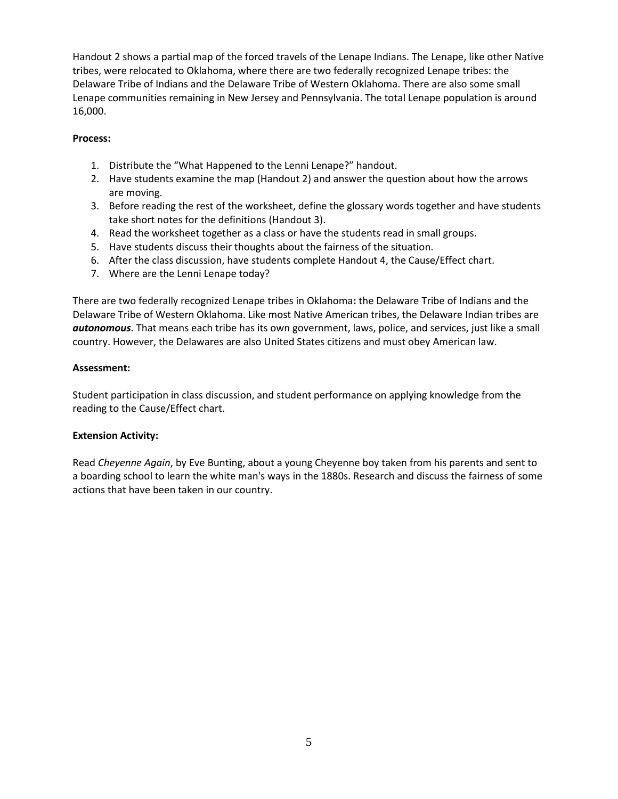Handout 2 shows a partial map of the forced travels of the Lenape Indians. The Lenape, like other Native tribes, were relocated to Oklahoma, where there are two federally recognized Lenape tribes: the Delaware Tribe of Indians and the Delaware Tribe of Western Oklahoma. There are also some small Lenape communities remaining in New Jersey and Pennsylvania. The total Lenape population is around 16,000.

# **Process:**

- 1. Distribute the "What Happened to the Lenni Lenape?" handout.
- 2. Have students examine the map (Handout 2) and answer the question about how the arrows are moving.
- 3. Before reading the rest of the worksheet, define the glossary words together and have students take short notes for the definitions (Handout 3).
- 4. Read the worksheet together as a class or have the students read in small groups.
- 5. Have students discuss their thoughts about the fairness of the situation.
- 6. After the class discussion, have students complete Handout 4, the Cause/Effect chart.
- 7. Where are the Lenni Lenape today?

There are two federally recognized Lenape tribes in Oklahoma**:** the Delaware Tribe of Indians and the Delaware Tribe of Western Oklahoma. Like most Native American tribes, the Delaware Indian tribes are *autonomous*. That means each tribe has its own government, laws, police, and services, just like a small country. However, the Delawares are also United States citizens and must obey American law.

# **Assessment:**

Student participation in class discussion, and student performance on applying knowledge from the reading to the Cause/Effect chart.

# **Extension Activity:**

Read *Cheyenne Again*, by Eve Bunting, about a young Cheyenne boy taken from his parents and sent to a boarding school to learn the white man's ways in the 1880s. Research and discuss the fairness of some actions that have been taken in our country.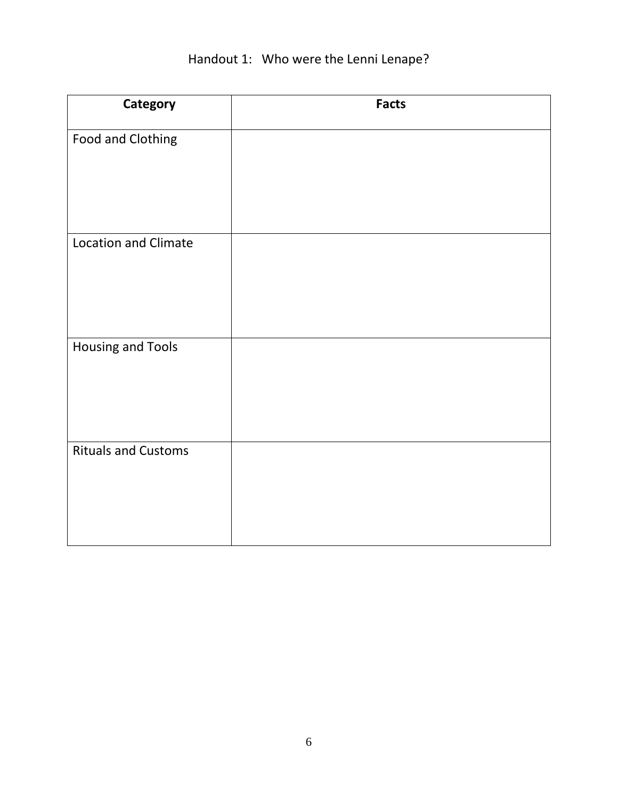| Category                    | <b>Facts</b> |
|-----------------------------|--------------|
| Food and Clothing           |              |
| <b>Location and Climate</b> |              |
| <b>Housing and Tools</b>    |              |
| <b>Rituals and Customs</b>  |              |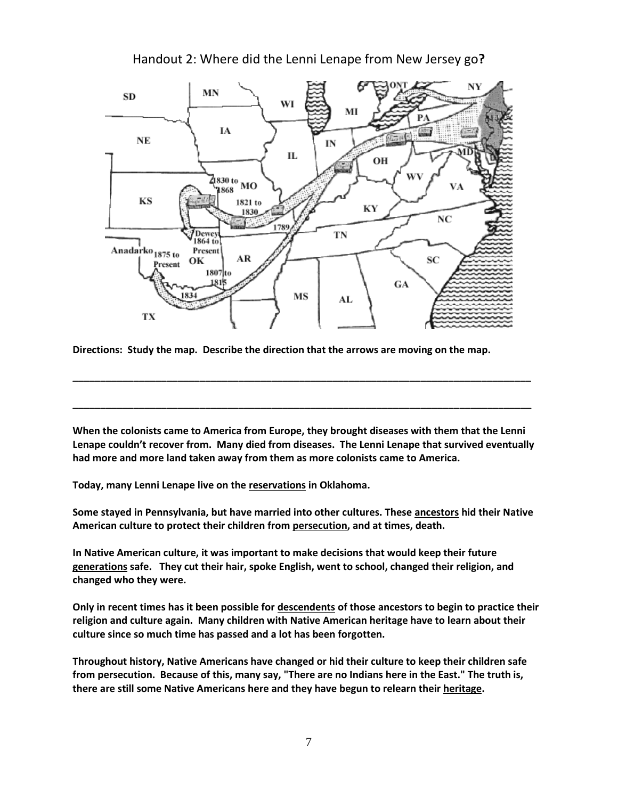

Handout 2: Where did the Lenni Lenape from New Jersey go**?** 

**Directions: Study the map. Describe the direction that the arrows are moving on the map.** 

**When the colonists came to America from Europe, they brought diseases with them that the Lenni Lenape couldn't recover from. Many died from diseases. The Lenni Lenape that survived eventually had more and more land taken away from them as more colonists came to America.** 

**\_\_\_\_\_\_\_\_\_\_\_\_\_\_\_\_\_\_\_\_\_\_\_\_\_\_\_\_\_\_\_\_\_\_\_\_\_\_\_\_\_\_\_\_\_\_\_\_\_\_\_\_\_\_\_\_\_\_\_\_\_\_\_\_\_\_\_\_\_\_\_\_\_\_\_\_\_\_\_\_\_\_\_**

**\_\_\_\_\_\_\_\_\_\_\_\_\_\_\_\_\_\_\_\_\_\_\_\_\_\_\_\_\_\_\_\_\_\_\_\_\_\_\_\_\_\_\_\_\_\_\_\_\_\_\_\_\_\_\_\_\_\_\_\_\_\_\_\_\_\_\_\_\_\_\_\_\_\_\_\_\_\_\_\_\_\_\_**

**Today, many Lenni Lenape live on the reservations in Oklahoma.** 

**Some stayed in Pennsylvania, but have married into other cultures. These ancestors hid their Native American culture to protect their children from persecution, and at times, death.** 

**In Native American culture, it was important to make decisions that would keep their future generations safe. They cut their hair, spoke English, went to school, changed their religion, and changed who they were.** 

**Only in recent times has it been possible for descendents of those ancestors to begin to practice their religion and culture again. Many children with Native American heritage have to learn about their culture since so much time has passed and a lot has been forgotten.**

**Throughout history, Native Americans have changed or hid their culture to keep their children safe from persecution. Because of this, many say, "There are no Indians here in the East." The truth is, there are still some Native Americans here and they have begun to relearn their heritage.**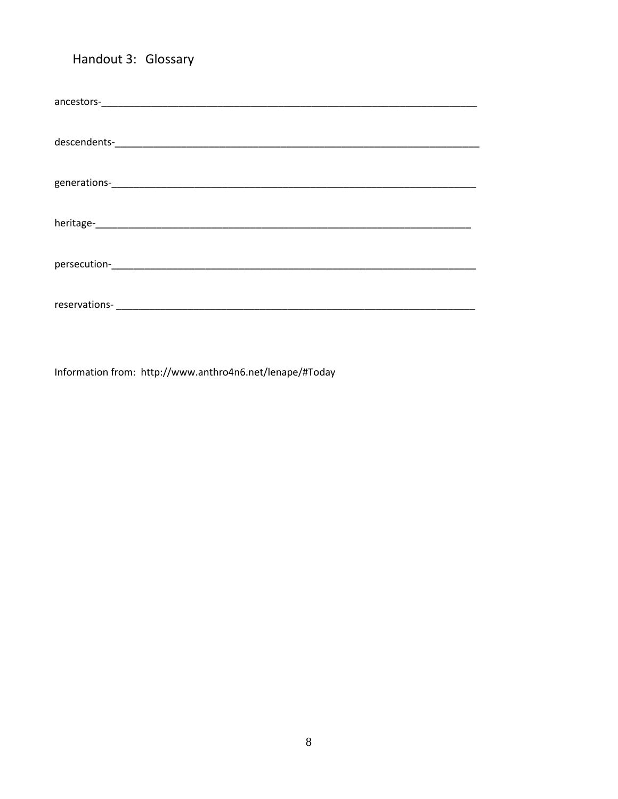# Handout 3: Glossary

Information from: http://www.anthro4n6.net/lenape/#Today